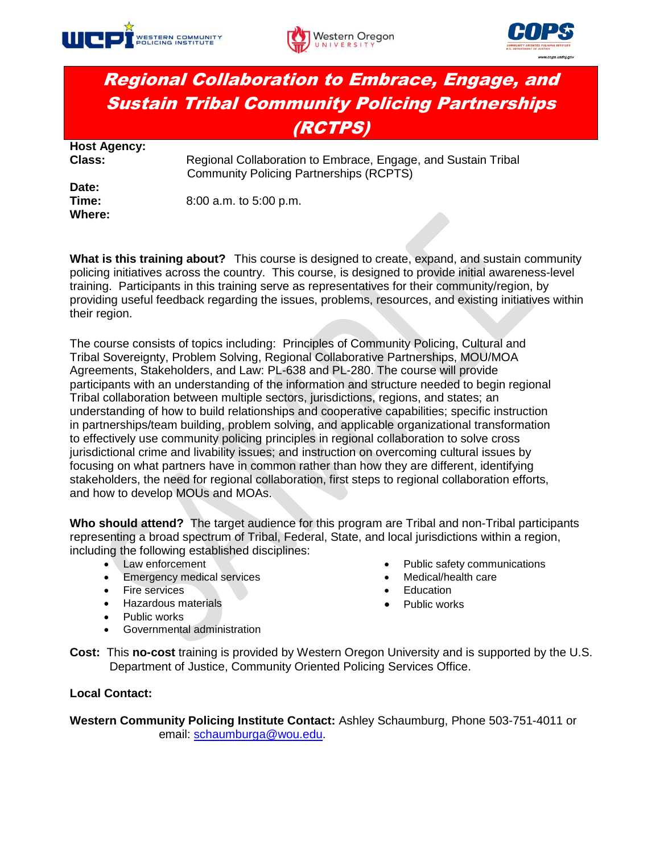





## Regional Collaboration to Embrace, Engage, and Sustain Tribal Community Policing Partnerships (RCTPS)

| <b>Host Agency:</b> |                                                                                                                 |
|---------------------|-----------------------------------------------------------------------------------------------------------------|
| <b>Class:</b>       | Regional Collaboration to Embrace, Engage, and Sustain Tribal<br><b>Community Policing Partnerships (RCPTS)</b> |
| Date:               |                                                                                                                 |
| Time:               | 8:00 a.m. to 5:00 p.m.                                                                                          |
| Where:              |                                                                                                                 |

**What is this training about?** This course is designed to create, expand, and sustain community policing initiatives across the country. This course, is designed to provide initial awareness-level training. Participants in this training serve as representatives for their community/region, by providing useful feedback regarding the issues, problems, resources, and existing initiatives within their region.

The course consists of topics including: Principles of Community Policing, Cultural and Tribal Sovereignty, Problem Solving, Regional Collaborative Partnerships, MOU/MOA Agreements, Stakeholders, and Law: PL-638 and PL-280. The course will provide participants with an understanding of the information and structure needed to begin regional Tribal collaboration between multiple sectors, jurisdictions, regions, and states; an understanding of how to build relationships and cooperative capabilities; specific instruction in partnerships/team building, problem solving, and applicable organizational transformation to effectively use community policing principles in regional collaboration to solve cross jurisdictional crime and livability issues; and instruction on overcoming cultural issues by focusing on what partners have in common rather than how they are different, identifying stakeholders, the need for regional collaboration, first steps to regional collaboration efforts, and how to develop MOUs and MOAs.

**Who should attend?** The target audience for this program are Tribal and non-Tribal participants representing a broad spectrum of Tribal, Federal, State, and local jurisdictions within a region, including the following established disciplines:

- Law enforcement
- Emergency medical services
- Fire services
- Hazardous materials
- Public works

Medical/health care

Public safety communications

- **Education**
- Public works
- Governmental administration
- **Cost:** This **no-cost** training is provided by Western Oregon University and is supported by the U.S. Department of Justice, Community Oriented Policing Services Office.

## **Local Contact:**

**Western Community Policing Institute Contact:** Ashley Schaumburg, Phone 503-751-4011 or email: [schaumburga@wou.edu.](mailto:schaumburga@wou.edu)